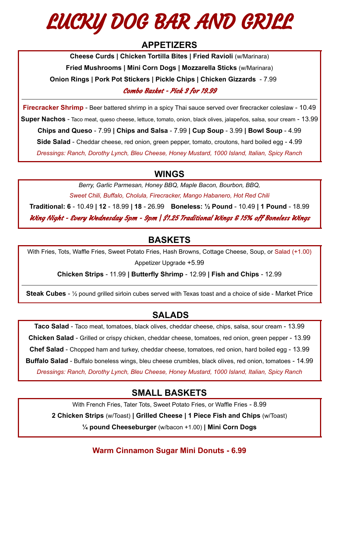# LUCKY DOG BAR AND GRILL

## **APPETIZERS**

**Cheese Curds | Chicken Tortilla Bites | Fried Ravioli** (w/Marinara) **Fried Mushrooms | Mini Corn Dogs | Mozzarella Sticks** (w/Marinara) **Onion Rings | Pork Pot Stickers | Pickle Chips | Chicken Gizzards** - 7.99 Combo Basket - Pick 3 for 19.99

**Firecracker Shrimp** - Beer battered shrimp in a spicy Thai sauce served over firecracker coleslaw - 10.49 **Super Nachos** - Taco meat, queso cheese, lettuce, tomato, onion, black olives, jalapeños, salsa, sour cream - 13.99 **Chips and Queso** - 7.99 **| Chips and Salsa** - 7.99 **| Cup Soup** - 3.99 **| Bowl Soup** - 4.99 **Side Salad** - Cheddar cheese, red onion, green pepper, tomato, croutons, hard boiled egg - 4.99 *Dressings: Ranch, Dorothy Lynch, Bleu Cheese, Honey Mustard, 1000 Island, Italian, Spicy Ranch*

## **WINGS**

*Berry, Garlic Parmesan, Honey BBQ, Maple Bacon, Bourbon, BBQ, Sweet Chili, Buffalo, Cholula, Firecracker, Mango Habanero, Hot Red Chili*

**Traditional: 6** - 10.49 **| 12** - 18.99 **| 18** - 26.99 **Boneless: ½ Pound** - 10.49 **| 1 Pound** - 18.99 Wing Night - Every Wednesday 5pm - 9pm | \$1.25 Traditional Wings & 15% off Boneless Wings

## **BASKETS**

With Fries, Tots, Waffle Fries, Sweet Potato Fries, Hash Browns, Cottage Cheese, Soup, or Salad (+1.00) Appetizer Upgrade +5.99

**Chicken Strips** - 11.99 **| Butterfly Shrimp** - 12.99 **| Fish and Chips** - 12.99

**Steak Cubes** - ½ pound grilled sirloin cubes served with Texas toast and a choice of side - Market Price

# **SALADS**

**Taco Salad** - Taco meat, tomatoes, black olives, cheddar cheese, chips, salsa, sour cream - 13.99 **Chicken Salad** - Grilled or crispy chicken, cheddar cheese, tomatoes, red onion, green pepper - 13.99 **Chef Salad** - Chopped ham and turkey, cheddar cheese, tomatoes, red onion, hard boiled egg - 13.99 **Buffalo Salad** - Buffalo boneless wings, bleu cheese crumbles, black olives, red onion, tomatoes - 14.99 *Dressings: Ranch, Dorothy Lynch, Bleu Cheese, Honey Mustard, 1000 Island, Italian, Spicy Ranch*

## **SMALL BASKETS**

With French Fries, Tater Tots, Sweet Potato Fries, or Waffle Fries - 8.99

**2 Chicken Strips** (w/Toast) **| Grilled Cheese | 1 Piece Fish and Chips** (w/Toast)

**¼ pound Cheeseburger** (w/bacon +1.00) **| Mini Corn Dogs**

**Warm Cinnamon Sugar Mini Donuts - 6.99**